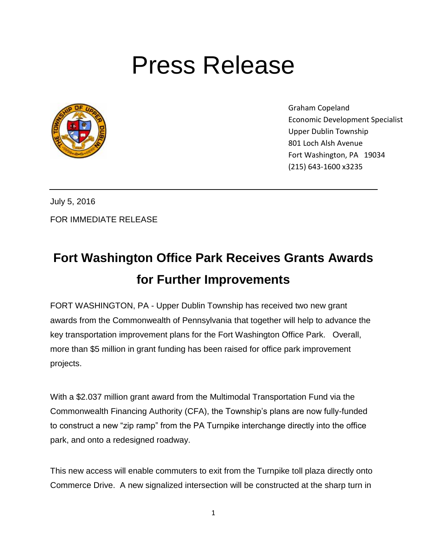## Press Release



Graham Copeland Economic Development Specialist Upper Dublin Township 801 Loch Alsh Avenue Fort Washington, PA 19034 (215) 643-1600 x3235

July 5, 2016 FOR IMMEDIATE RELEASE

## **Fort Washington Office Park Receives Grants Awards for Further Improvements**

FORT WASHINGTON, PA - Upper Dublin Township has received two new grant awards from the Commonwealth of Pennsylvania that together will help to advance the key transportation improvement plans for the Fort Washington Office Park. Overall, more than \$5 million in grant funding has been raised for office park improvement projects.

With a \$2.037 million grant award from the Multimodal Transportation Fund via the Commonwealth Financing Authority (CFA), the Township's plans are now fully-funded to construct a new "zip ramp" from the PA Turnpike interchange directly into the office park, and onto a redesigned roadway.

This new access will enable commuters to exit from the Turnpike toll plaza directly onto Commerce Drive. A new signalized intersection will be constructed at the sharp turn in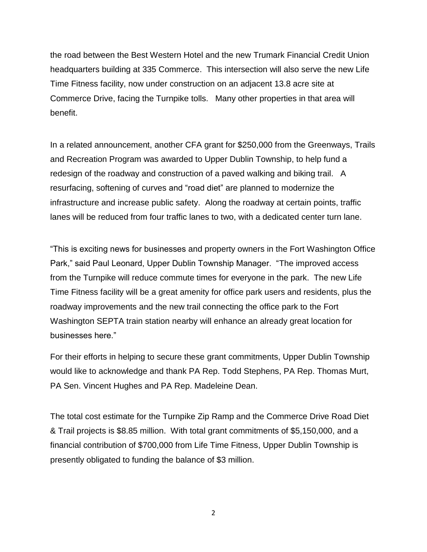the road between the Best Western Hotel and the new Trumark Financial Credit Union headquarters building at 335 Commerce. This intersection will also serve the new Life Time Fitness facility, now under construction on an adjacent 13.8 acre site at Commerce Drive, facing the Turnpike tolls. Many other properties in that area will benefit.

In a related announcement, another CFA grant for \$250,000 from the Greenways, Trails and Recreation Program was awarded to Upper Dublin Township, to help fund a redesign of the roadway and construction of a paved walking and biking trail. A resurfacing, softening of curves and "road diet" are planned to modernize the infrastructure and increase public safety. Along the roadway at certain points, traffic lanes will be reduced from four traffic lanes to two, with a dedicated center turn lane.

"This is exciting news for businesses and property owners in the Fort Washington Office Park," said Paul Leonard, Upper Dublin Township Manager. "The improved access from the Turnpike will reduce commute times for everyone in the park. The new Life Time Fitness facility will be a great amenity for office park users and residents, plus the roadway improvements and the new trail connecting the office park to the Fort Washington SEPTA train station nearby will enhance an already great location for businesses here."

For their efforts in helping to secure these grant commitments, Upper Dublin Township would like to acknowledge and thank PA Rep. Todd Stephens, PA Rep. Thomas Murt, PA Sen. Vincent Hughes and PA Rep. Madeleine Dean.

The total cost estimate for the Turnpike Zip Ramp and the Commerce Drive Road Diet & Trail projects is \$8.85 million. With total grant commitments of \$5,150,000, and a financial contribution of \$700,000 from Life Time Fitness, Upper Dublin Township is presently obligated to funding the balance of \$3 million.

2